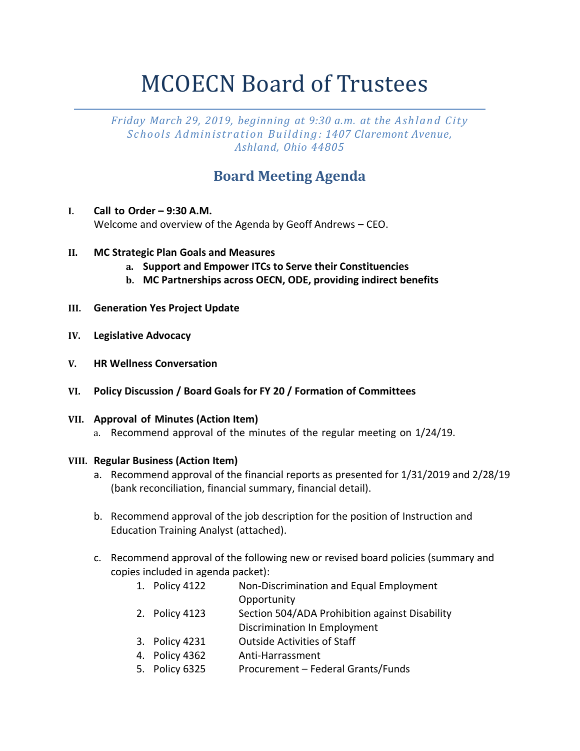# MCOECN Board of Trustees

*Friday March 29, 2019, beginning at 9:30 a.m. at the Ash lan d C it y Sc ho ol s Ad min ist r at i on B u ild in g : 1407 Claremont Avenue, Ashland, Ohio 44805*

## **Board Meeting Agenda**

- **I. Call to Order – 9:30 A.M.**  Welcome and overview of the Agenda by Geoff Andrews – CEO.
- **II. MC Strategic Plan Goals and Measures**
	- **a. Support and Empower ITCs to Serve their Constituencies**
	- **b. MC Partnerships across OECN, ODE, providing indirect benefits**
- **III. Generation Yes Project Update**
- **IV. Legislative Advocacy**
- **V. HR Wellness Conversation**
- **VI. Policy Discussion / Board Goals for FY 20 / Formation of Committees**

#### **VII. Approval of Minutes (Action Item)**

a. Recommend approval of the minutes of the regular meeting on 1/24/19.

#### **VIII. Regular Business (Action Item)**

- a. Recommend approval of the financial reports as presented for 1/31/2019 and 2/28/19 (bank reconciliation, financial summary, financial detail).
- b. Recommend approval of the job description for the position of Instruction and Education Training Analyst (attached).
- c. Recommend approval of the following new or revised board policies (summary and copies included in agenda packet):
	- 1. Policy 4122 Non-Discrimination and Equal Employment **Opportunity**
	- 2. Policy 4123 Section 504/ADA Prohibition against Disability Discrimination In Employment
	- 3. Policy 4231 Outside Activities of Staff
	- 4. Policy 4362 Anti-Harrassment
	- 5. Policy 6325 Procurement Federal Grants/Funds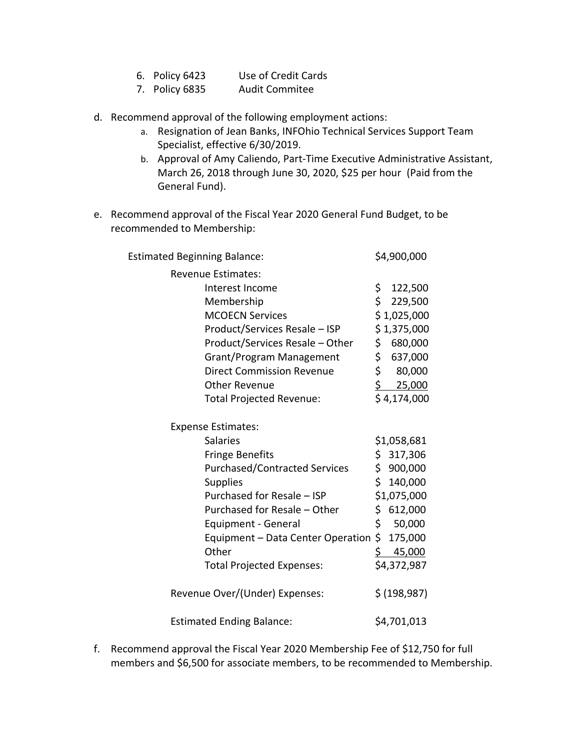- 6. Policy 6423 Use of Credit Cards
- 7. Policy 6835 Audit Commitee
- d. Recommend approval of the following employment actions:
	- a. Resignation of Jean Banks, INFOhio Technical Services Support Team Specialist, effective 6/30/2019.
	- b. Approval of Amy Caliendo, Part-Time Executive Administrative Assistant, March 26, 2018 through June 30, 2020, \$25 per hour (Paid from the General Fund).
- e. Recommend approval of the Fiscal Year 2020 General Fund Budget, to be recommended to Membership:

| <b>Estimated Beginning Balance:</b>  | \$4,900,000             |
|--------------------------------------|-------------------------|
| <b>Revenue Estimates:</b>            |                         |
| Interest Income                      | \$<br>122,500           |
| Membership                           | \$<br>229,500           |
| <b>MCOECN Services</b>               | \$1,025,000             |
| Product/Services Resale - ISP        | \$1,375,000             |
| Product/Services Resale - Other      | \$.<br>680,000          |
| Grant/Program Management             | \$<br>637,000           |
| <b>Direct Commission Revenue</b>     | \$<br>80,000            |
| <b>Other Revenue</b>                 | $\frac{1}{2}$<br>25,000 |
| Total Projected Revenue:             | \$4,174,000             |
| <b>Expense Estimates:</b>            |                         |
| <b>Salaries</b>                      | \$1,058,681             |
| <b>Fringe Benefits</b>               | \$317,306               |
| <b>Purchased/Contracted Services</b> | \$.<br>900,000          |
| <b>Supplies</b>                      | Ś.<br>140,000           |
| Purchased for Resale - ISP           | \$1,075,000             |
| Purchased for Resale - Other         | \$.<br>612,000          |
| Equipment - General                  | \$<br>50,000            |
| Equipment - Data Center Operation    | \$.<br>175,000          |
| Other                                | \$.<br>45,000           |
| <b>Total Projected Expenses:</b>     | \$4,372,987             |
| Revenue Over/(Under) Expenses:       | \$ (198, 987)           |
| <b>Estimated Ending Balance:</b>     | \$4,701,013             |

f. Recommend approval the Fiscal Year 2020 Membership Fee of \$12,750 for full members and \$6,500 for associate members, to be recommended to Membership.